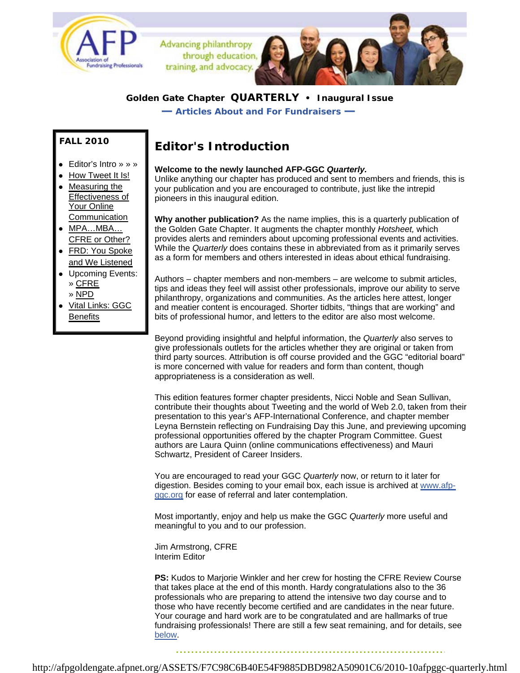

Advancing philanthropy through education training, and advocacy.

### **Golden Gate Chapter QUARTERLY • Inaugural Issue**

*— Articles About and For Fundraisers —*

### **FALL 2010**

- Editor's Intro » » »
- How Tweet It Is!
- Measuring the Effectiveness of Your Online Communication
- MPA…MBA… CFRE or Other?
- FRD: You Spoke and We Listened
- **Upcoming Events:** » CFRE
	- » NPD
- Vital Links: GGC **Benefits**

# **Editor's Introduction**

#### **Welcome to the newly launched AFP-GGC** *Quarterly.*

Unlike anything our chapter has produced and sent to members and friends, this is your publication and you are encouraged to contribute, just like the intrepid pioneers in this inaugural edition.

**Why another publication?** As the name implies, this is a quarterly publication of the Golden Gate Chapter. It augments the chapter monthly *Hotsheet,* which provides alerts and reminders about upcoming professional events and activities. While the *Quarterly* does contains these in abbreviated from as it primarily serves as a form for members and others interested in ideas about ethical fundraising.

Authors – chapter members and non-members – are welcome to submit articles, tips and ideas they feel will assist other professionals, improve our ability to serve philanthropy, organizations and communities. As the articles here attest, longer and meatier content is encouraged. Shorter tidbits, "things that are working" and bits of professional humor, and letters to the editor are also most welcome.

Beyond providing insightful and helpful information, the *Quarterly* also serves to give professionals outlets for the articles whether they are original or taken from third party sources. Attribution is off course provided and the GGC "editorial board" is more concerned with value for readers and form than content, though appropriateness is a consideration as well.

This edition features former chapter presidents, Nicci Noble and Sean Sullivan, contribute their thoughts about Tweeting and the world of Web 2.0, taken from their presentation to this year's AFP-International Conference, and chapter member Leyna Bernstein reflecting on Fundraising Day this June, and previewing upcoming professional opportunities offered by the chapter Program Committee. Guest authors are Laura Quinn (online communications effectiveness) and Mauri Schwartz, President of Career Insiders.

You are encouraged to read your GGC *Quarterly* now, or return to it later for digestion. Besides coming to your email box, each issue is archived at www.afpggc.org for ease of referral and later contemplation.

Most importantly, enjoy and help us make the GGC *Quarterly* more useful and meaningful to you and to our profession.

Jim Armstrong, CFRE Interim Editor

**PS:** Kudos to Marjorie Winkler and her crew for hosting the CFRE Review Course that takes place at the end of this month. Hardy congratulations also to the 36 professionals who are preparing to attend the intensive two day course and to those who have recently become certified and are candidates in the near future. Your courage and hard work are to be congratulated and are hallmarks of true fundraising professionals! There are still a few seat remaining, and for details, see below.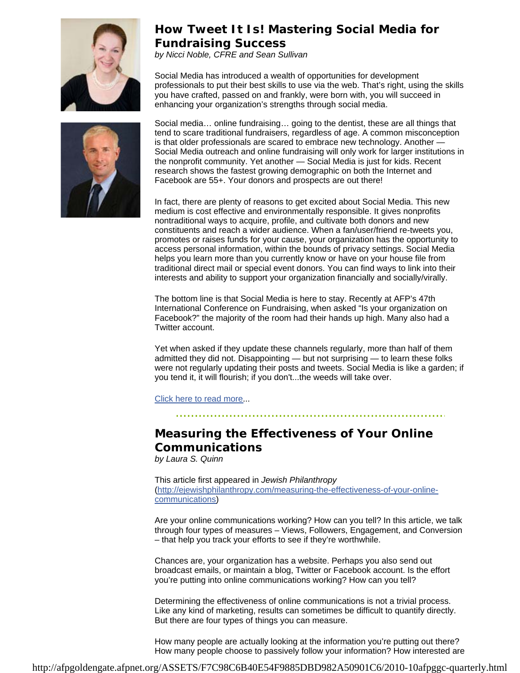

## **How Tweet It Is! Mastering Social Media for Fundraising Success**

*by Nicci Noble, CFRE and Sean Sullivan*

Social Media has introduced a wealth of opportunities for development professionals to put their best skills to use via the web. That's right, using the skills you have crafted, passed on and frankly, were born with, you will succeed in enhancing your organization's strengths through social media.



Social media… online fundraising… going to the dentist, these are all things that tend to scare traditional fundraisers, regardless of age. A common misconception is that older professionals are scared to embrace new technology. Another — Social Media outreach and online fundraising will only work for larger institutions in the nonprofit community. Yet another — Social Media is just for kids. Recent research shows the fastest growing demographic on both the Internet and Facebook are 55+. Your donors and prospects are out there!

In fact, there are plenty of reasons to get excited about Social Media. This new medium is cost effective and environmentally responsible. It gives nonprofits nontraditional ways to acquire, profile, and cultivate both donors and new constituents and reach a wider audience. When a fan/user/friend re-tweets you, promotes or raises funds for your cause, your organization has the opportunity to access personal information, within the bounds of privacy settings. Social Media helps you learn more than you currently know or have on your house file from traditional direct mail or special event donors. You can find ways to link into their interests and ability to support your organization financially and socially/virally.

The bottom line is that Social Media is here to stay. Recently at AFP's 47th International Conference on Fundraising, when asked "Is your organization on Facebook?" the majority of the room had their hands up high. Many also had a Twitter account.

Yet when asked if they update these channels regularly, more than half of them admitted they did not. Disappointing — but not surprising — to learn these folks were not regularly updating their posts and tweets. Social Media is like a garden; if you tend it, it will flourish; if you don't...the weeds will take over.

Click here to read more...

# **Measuring the Effectiveness of Your Online Communications**

*by Laura S. Quinn*

This article first appeared in *Jewish Philanthropy* (http://ejewishphilanthropy.com/measuring-the-effectiveness-of-your-onlinecommunications)

Are your online communications working? How can you tell? In this article, we talk through four types of measures – Views, Followers, Engagement, and Conversion – that help you track your efforts to see if they're worthwhile.

Chances are, your organization has a website. Perhaps you also send out broadcast emails, or maintain a blog, Twitter or Facebook account. Is the effort you're putting into online communications working? How can you tell?

Determining the effectiveness of online communications is not a trivial process. Like any kind of marketing, results can sometimes be difficult to quantify directly. But there are four types of things you can measure.

How many people are actually looking at the information you're putting out there? How many people choose to passively follow your information? How interested are

http://afpgoldengate.afpnet.org/ASSETS/F7C98C6B40E54F9885DBD982A50901C6/2010-10afpggc-quarterly.html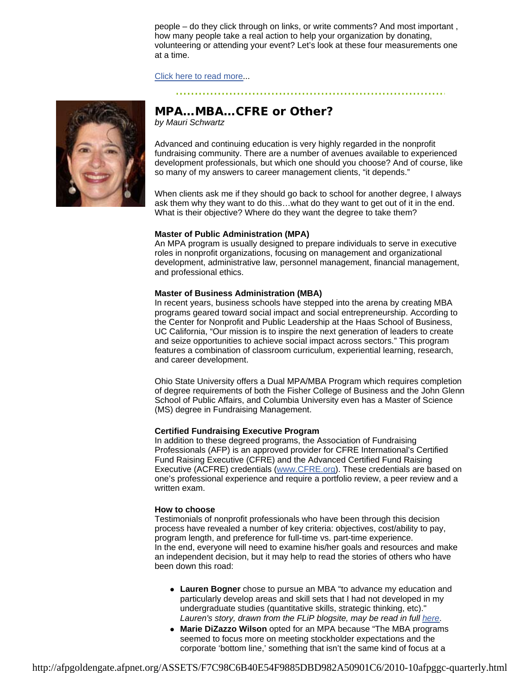people – do they click through on links, or write comments? And most important , how many people take a real action to help your organization by donating, volunteering or attending your event? Let's look at these four measurements one at a time.

Click here to read more...



# **MPA…MBA…CFRE or Other?**

*by Mauri Schwartz*

Advanced and continuing education is very highly regarded in the nonprofit fundraising community. There are a number of avenues available to experienced development professionals, but which one should you choose? And of course, like so many of my answers to career management clients, "it depends."

When clients ask me if they should go back to school for another degree, I always ask them why they want to do this…what do they want to get out of it in the end. What is their objective? Where do they want the degree to take them?

#### **Master of Public Administration (MPA)**

An MPA program is usually designed to prepare individuals to serve in executive roles in nonprofit organizations, focusing on management and organizational development, administrative law, personnel management, financial management, and professional ethics.

#### **Master of Business Administration (MBA)**

In recent years, business schools have stepped into the arena by creating MBA programs geared toward social impact and social entrepreneurship. According to the Center for Nonprofit and Public Leadership at the Haas School of Business, UC California, "Our mission is to inspire the next generation of leaders to create and seize opportunities to achieve social impact across sectors." This program features a combination of classroom curriculum, experiential learning, research, and career development.

Ohio State University offers a Dual MPA/MBA Program which requires completion of degree requirements of both the Fisher College of Business and the John Glenn School of Public Affairs, and Columbia University even has a Master of Science (MS) degree in Fundraising Management.

#### **Certified Fundraising Executive Program**

In addition to these degreed programs, the Association of Fundraising Professionals (AFP) is an approved provider for CFRE International's Certified Fund Raising Executive (CFRE) and the Advanced Certified Fund Raising Executive (ACFRE) credentials (www.CFRE.org). These credentials are based on one's professional experience and require a portfolio review, a peer review and a written exam.

#### **How to choose**

Testimonials of nonprofit professionals who have been through this decision process have revealed a number of key criteria: objectives, cost/ability to pay, program length, and preference for full-time vs. part-time experience. In the end, everyone will need to examine his/her goals and resources and make an independent decision, but it may help to read the stories of others who have been down this road:

- Lauren Bogner chose to pursue an MBA "to advance my education and particularly develop areas and skill sets that I had not developed in my undergraduate studies (quantitative skills, strategic thinking, etc)." *Lauren's story, drawn from the FLiP blogsite, may be read in full here*.
- Marie DiZazzo Wilson opted for an MPA because "The MBA programs" seemed to focus more on meeting stockholder expectations and the corporate 'bottom line,' something that isn't the same kind of focus at a